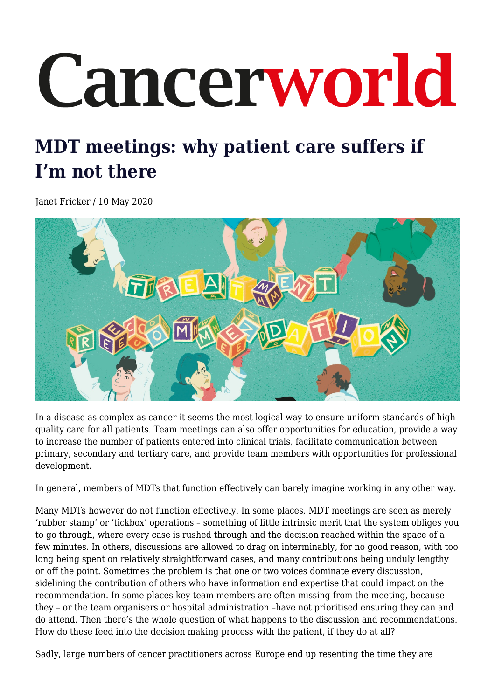## Cancerworld

## **MDT meetings: why patient care suffers if I'm not there**

Janet Fricker / 10 May 2020



In a disease as complex as cancer it seems the most logical way to ensure uniform standards of high quality care for all patients. Team meetings can also offer opportunities for education, provide a way to increase the number of patients entered into clinical trials, facilitate communication between primary, secondary and tertiary care, and provide team members with opportunities for professional development.

In general, members of MDTs that function effectively can barely imagine working in any other way.

Many MDTs however do not function effectively. In some places, MDT meetings are seen as merely 'rubber stamp' or 'tickbox' operations – something of little intrinsic merit that the system obliges you to go through, where every case is rushed through and the decision reached within the space of a few minutes. In others, discussions are allowed to drag on interminably, for no good reason, with too long being spent on relatively straightforward cases, and many contributions being unduly lengthy or off the point. Sometimes the problem is that one or two voices dominate every discussion, sidelining the contribution of others who have information and expertise that could impact on the recommendation. In some places key team members are often missing from the meeting, because they – or the team organisers or hospital administration –have not prioritised ensuring they can and do attend. Then there's the whole question of what happens to the discussion and recommendations. How do these feed into the decision making process with the patient, if they do at all?

Sadly, large numbers of cancer practitioners across Europe end up resenting the time they are